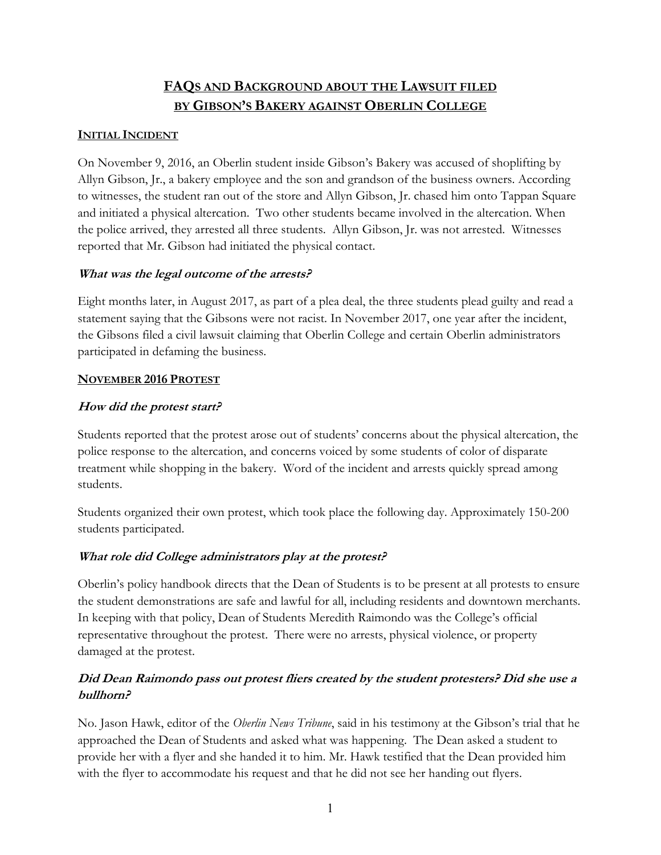# **FAQS AND BACKGROUND ABOUT THE LAWSUIT FILED BY GIBSON'S BAKERY AGAINST OBERLIN COLLEGE**

#### **INITIAL INCIDENT**

 Allyn Gibson, Jr., a bakery employee and the son and grandson of the business owners. According to witnesses, the student ran out of the store and Allyn Gibson, Jr. chased him onto Tappan Square On November 9, 2016, an Oberlin student inside Gibson's Bakery was accused of shoplifting by and initiated a physical altercation. Two other students became involved in the altercation. When the police arrived, they arrested all three students. Allyn Gibson, Jr. was not arrested. Witnesses reported that Mr. Gibson had initiated the physical contact.

#### **What was the legal outcome of the arrests?**

 the Gibsons filed a civil lawsuit claiming that Oberlin College and certain Oberlin administrators Eight months later, in August 2017, as part of a plea deal, the three students plead guilty and read a statement saying that the Gibsons were not racist. In November 2017, one year after the incident, participated in defaming the business.

#### **NOVEMBER 2016 PROTEST**

#### **How did the protest start?**

 treatment while shopping in the bakery. Word of the incident and arrests quickly spread among students. Students reported that the protest arose out of students' concerns about the physical altercation, the police response to the altercation, and concerns voiced by some students of color of disparate

Students organized their own protest, which took place the following day. Approximately 150-200 students participated.

#### **What role did College administrators play at the protest?**

 the student demonstrations are safe and lawful for all, including residents and downtown merchants. In keeping with that policy, Dean of Students Meredith Raimondo was the College's official In keeping with that policy, Dean of Students Meredith Raimondo was the College's official damaged at the protest. Oberlin's policy handbook directs that the Dean of Students is to be present at all protests to ensure representative throughout the protest. There were no arrests, physical violence, or property

### **Did Dean Raimondo pass out protest fliers created by the student protesters? Did she use a bullhorn?**

 approached the Dean of Students and asked what was happening. The Dean asked a student to with the flyer to accommodate his request and that he did not see her handing out flyers. No. Jason Hawk, editor of the *Oberlin News Tribune*, said in his testimony at the Gibson's trial that he provide her with a flyer and she handed it to him. Mr. Hawk testified that the Dean provided him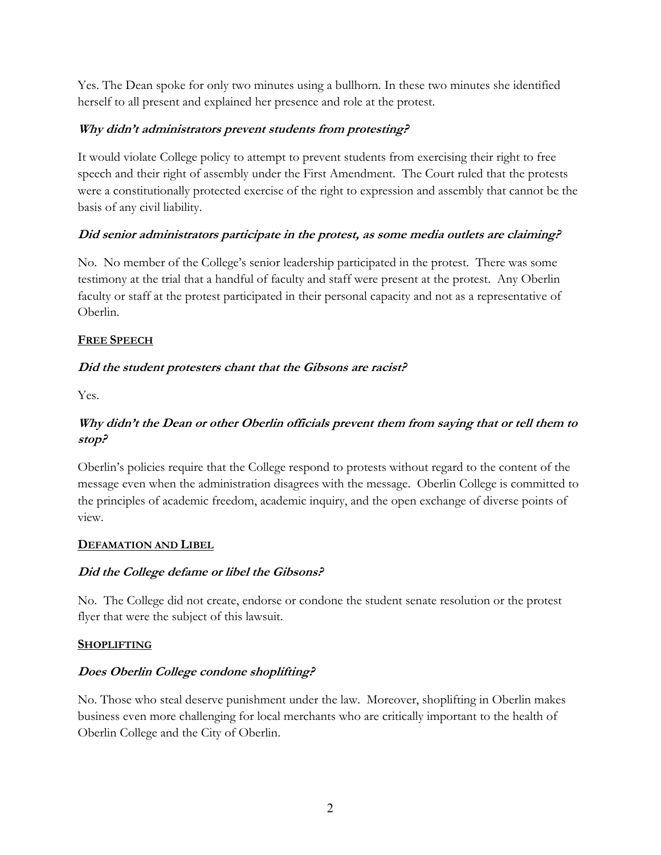Yes. The Dean spoke for only two minutes using a bullhorn. In these two minutes she identified herself to all present and explained her presence and role at the protest.

### **Why didn't administrators prevent students from protesting?**

It would violate College policy to attempt to prevent students from exercising their right to free speech and their right of assembly under the First Amendment. The Court ruled that the protests were a constitutionally protected exercise of the right to expression and assembly that cannot be the basis of any civil liability.

### **Did senior administrators participate in the protest, as some media outlets are claiming?**

 No. No member of the College's senior leadership participated in the protest. There was some Oberlin. testimony at the trial that a handful of faculty and staff were present at the protest. Any Oberlin faculty or staff at the protest participated in their personal capacity and not as a representative of

#### **FREE SPEECH**

### **Did the student protesters chant that the Gibsons are racist?**

Yes.

## **Why didn't the Dean or other Oberlin officials prevent them from saying that or tell them to stop?**

Oberlin's policies require that the College respond to protests without regard to the content of the message even when the administration disagrees with the message. Oberlin College is committed to the principles of academic freedom, academic inquiry, and the open exchange of diverse points of view.

#### **DEFAMATION AND LIBEL**

### **Did the College defame or libel the Gibsons?**

No. The College did not create, endorse or condone the student senate resolution or the protest flyer that were the subject of this lawsuit.

#### **SHOPLIFTING**

### **Does Oberlin College condone shoplifting?**

 No. Those who steal deserve punishment under the law. Moreover, shoplifting in Oberlin makes business even more challenging for local merchants who are critically important to the health of Oberlin College and the City of Oberlin.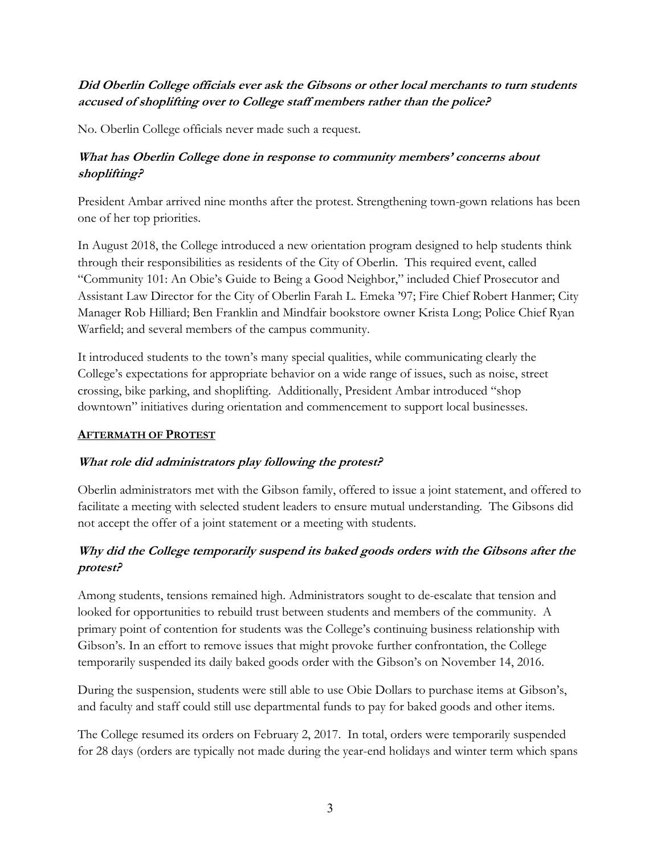### **Did Oberlin College officials ever ask the Gibsons or other local merchants to turn students accused of shoplifting over to College staff members rather than the police?**

No. Oberlin College officials never made such a request.

## **What has Oberlin College done in response to community members' concerns about shoplifting?**

 President Ambar arrived nine months after the protest. Strengthening town-gown relations has been one of her top priorities.

Warfield; and several members of the campus community. In August 2018, the College introduced a new orientation program designed to help students think through their responsibilities as residents of the City of Oberlin. This required event, called "Community 101: An Obie's Guide to Being a Good Neighbor," included Chief Prosecutor and Assistant Law Director for the City of Oberlin Farah L. Emeka '97; Fire Chief Robert Hanmer; City Manager Rob Hilliard; Ben Franklin and Mindfair bookstore owner Krista Long; Police Chief Ryan

 crossing, bike parking, and shoplifting. Additionally, President Ambar introduced "shop downtown" initiatives during orientation and commencement to support local businesses. It introduced students to the town's many special qualities, while communicating clearly the College's expectations for appropriate behavior on a wide range of issues, such as noise, street

#### **AFTERMATH OF PROTEST**

### **What role did administrators play following the protest?**

 facilitate a meeting with selected student leaders to ensure mutual understanding. The Gibsons did Oberlin administrators met with the Gibson family, offered to issue a joint statement, and offered to not accept the offer of a joint statement or a meeting with students.

## **Why did the College temporarily suspend its baked goods orders with the Gibsons after the protest?**

 Gibson's. In an effort to remove issues that might provoke further confrontation, the College temporarily suspended its daily baked goods order with the Gibson's on November 14, 2016. Among students, tensions remained high. Administrators sought to de-escalate that tension and looked for opportunities to rebuild trust between students and members of the community. A primary point of contention for students was the College's continuing business relationship with

During the suspension, students were still able to use Obie Dollars to purchase items at Gibson's, and faculty and staff could still use departmental funds to pay for baked goods and other items.

 The College resumed its orders on February 2, 2017. In total, orders were temporarily suspended for 28 days (orders are typically not made during the year-end holidays and winter term which spans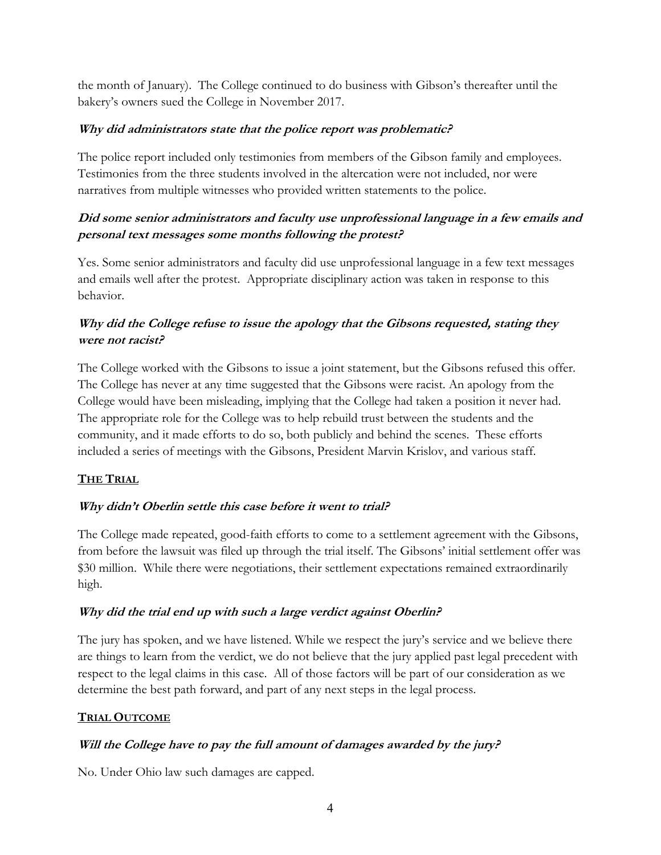the month of January). The College continued to do business with Gibson's thereafter until the bakery's owners sued the College in November 2017.

#### **Why did administrators state that the police report was problematic?**

The police report included only testimonies from members of the Gibson family and employees. Testimonies from the three students involved in the altercation were not included, nor were narratives from multiple witnesses who provided written statements to the police.

## **personal text messages some months following the protest? Did some senior administrators and faculty use unprofessional language in a few emails and**

 Yes. Some senior administrators and faculty did use unprofessional language in a few text messages and emails well after the protest. Appropriate disciplinary action was taken in response to this behavior.

### **Why did the College refuse to issue the apology that the Gibsons requested, stating they were not racist?**

 The College worked with the Gibsons to issue a joint statement, but the Gibsons refused this offer. The College has never at any time suggested that the Gibsons were racist. An apology from the community, and it made efforts to do so, both publicly and behind the scenes. These efforts included a series of meetings with the Gibsons, President Marvin Krislov, and various staff. College would have been misleading, implying that the College had taken a position it never had. The appropriate role for the College was to help rebuild trust between the students and the

### **THE TRIAL**

### **Why didn't Oberlin settle this case before it went to trial?**

\$30 million. While there were negotiations, their settlement expectations remained extraordinarily The College made repeated, good-faith efforts to come to a settlement agreement with the Gibsons, from before the lawsuit was filed up through the trial itself. The Gibsons' initial settlement offer was high.

#### **Why did the trial end up with such a large verdict against Oberlin?**

 The jury has spoken, and we have listened. While we respect the jury's service and we believe there respect to the legal claims in this case. All of those factors will be part of our consideration as we are things to learn from the verdict, we do not believe that the jury applied past legal precedent with determine the best path forward, and part of any next steps in the legal process.

#### **TRIAL OUTCOME**

#### **Will the College have to pay the full amount of damages awarded by the jury?**

No. Under Ohio law such damages are capped.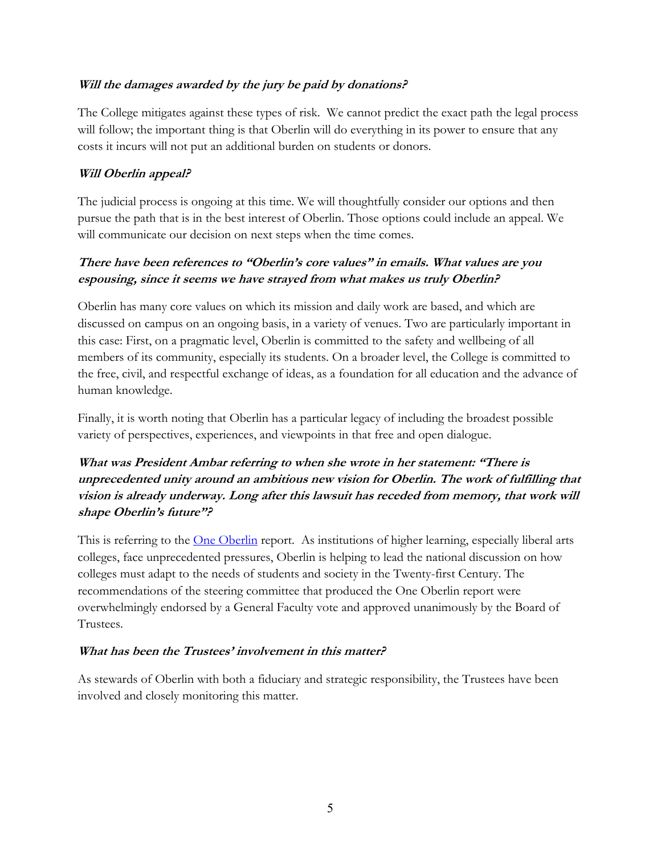#### **Will the damages awarded by the jury be paid by donations?**

 costs it incurs will not put an additional burden on students or donors. The College mitigates against these types of risk. We cannot predict the exact path the legal process will follow; the important thing is that Oberlin will do everything in its power to ensure that any

#### **Will Oberlin appeal?**

The judicial process is ongoing at this time. We will thoughtfully consider our options and then pursue the path that is in the best interest of Oberlin. Those options could include an appeal. We will communicate our decision on next steps when the time comes.

### **There have been references to "Oberlin's core values" in emails. What values are you espousing, since it seems we have strayed from what makes us truly Oberlin?**

 Oberlin has many core values on which its mission and daily work are based, and which are discussed on campus on an ongoing basis, in a variety of venues. Two are particularly important in this case: First, on a pragmatic level, Oberlin is committed to the safety and wellbeing of all members of its community, especially its students. On a broader level, the College is committed to the free, civil, and respectful exchange of ideas, as a foundation for all education and the advance of human knowledge.

 Finally, it is worth noting that Oberlin has a particular legacy of including the broadest possible variety of perspectives, experiences, and viewpoints in that free and open dialogue.

## **What was President Ambar referring to when she wrote in her statement: "There is unprecedented unity around an ambitious new vision for Oberlin. The work of fulfilling that vision is already underway. Long after this lawsuit has receded from memory, that work will shape Oberlin's future"?**

This is referring to the **One Oberlin** report. As institutions of higher learning, especially liberal arts colleges must adapt to the needs of students and society in the Twenty-first Century. The recommendations of the steering committee that produced the One Oberlin report were colleges, face unprecedented pressures, Oberlin is helping to lead the national discussion on how overwhelmingly endorsed by a General Faculty vote and approved unanimously by the Board of Trustees.

#### **What has been the Trustees' involvement in this matter?**

 involved and closely monitoring this matter. As stewards of Oberlin with both a fiduciary and strategic responsibility, the Trustees have been